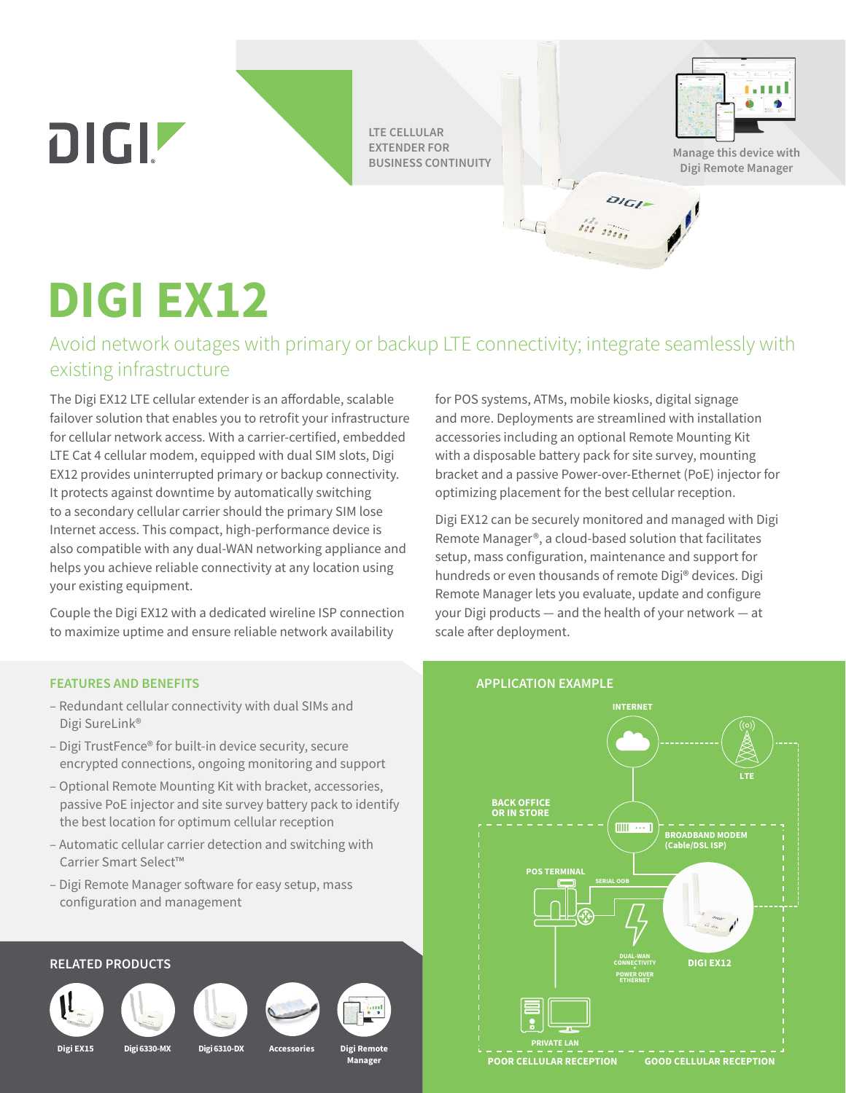**LTE CELLULAR EXTENDER FOR BUSINESS CONTINUITY**



**Manage this device with Digi Remote Manager**

# **DIGI EX12**

DIGIZ

Avoid network outages with primary or backup LTE connectivity; integrate seamlessly with existing infrastructure

The Digi EX12 LTE cellular extender is an affordable, scalable failover solution that enables you to retrofit your infrastructure for cellular network access. With a carrier-certified, embedded LTE Cat 4 cellular modem, equipped with dual SIM slots, Digi EX12 provides uninterrupted primary or backup connectivity. It protects against downtime by automatically switching to a secondary cellular carrier should the primary SIM lose Internet access. This compact, high-performance device is also compatible with any dual-WAN networking appliance and helps you achieve reliable connectivity at any location using your existing equipment.

Couple the Digi EX12 with a dedicated wireline ISP connection to maximize uptime and ensure reliable network availability

for POS systems, ATMs, mobile kiosks, digital signage and more. Deployments are streamlined with installation accessories including an optional Remote Mounting Kit with a disposable battery pack for site survey, mounting bracket and a passive Power-over-Ethernet (PoE) injector for optimizing placement for the best cellular reception.

DIGI-

iti sino

Digi EX12 can be securely monitored and managed with Digi Remote Manager®, a cloud-based solution that facilitates setup, mass configuration, maintenance and support for hundreds or even thousands of remote Digi® devices. Digi Remote Manager lets you evaluate, update and configure your Digi products — and the health of your network — at scale after deployment.

## **FEATURES AND BENEFITS**

- Redundant cellular connectivity with dual SIMs and Digi SureLink®
- Digi TrustFence® for built-in device security, secure encrypted connections, ongoing monitoring and support
- Optional Remote Mounting Kit with bracket, accessories, passive PoE injector and site survey battery pack to identify the best location for optimum cellular reception
- Automatic cellular carrier detection and switching with Carrier Smart Select™
- Digi Remote Manager software for easy setup, mass configuration and management



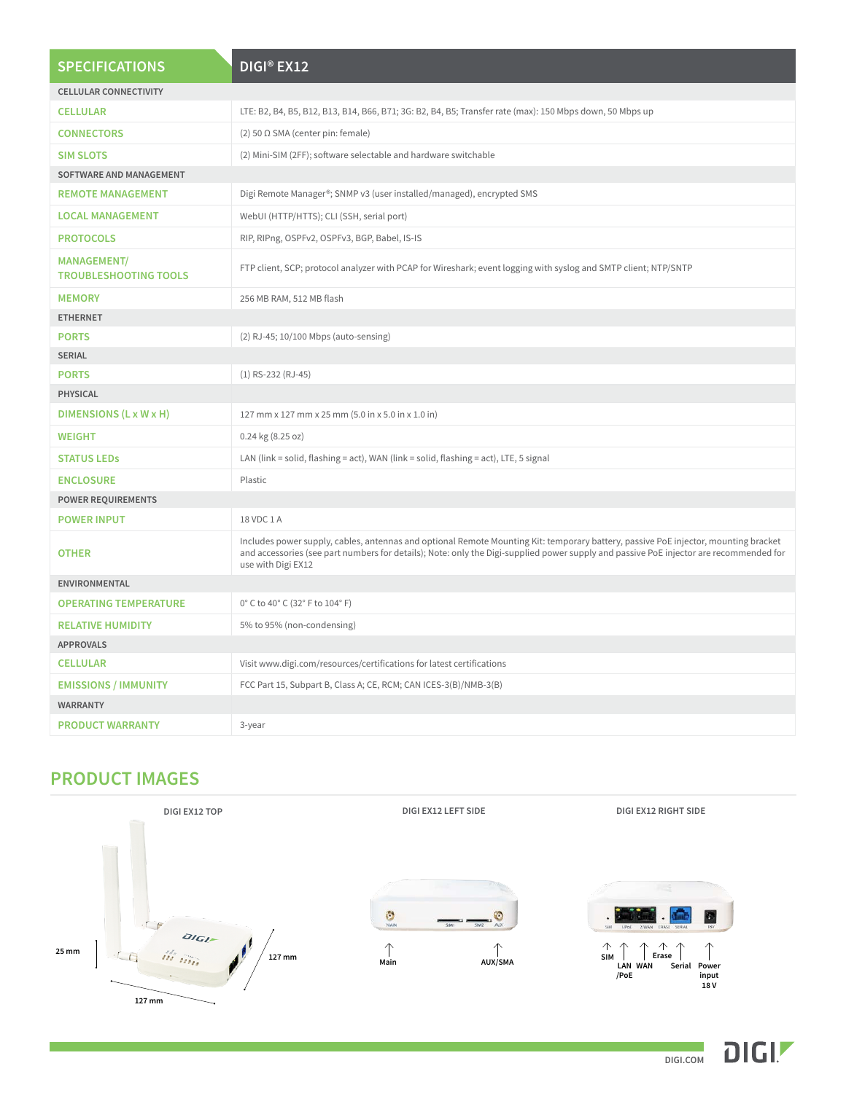| <b>SPECIFICATIONS</b>                              | <b>DIGI® EX12</b>                                                                                                                                                                                                                                                                                   |  |
|----------------------------------------------------|-----------------------------------------------------------------------------------------------------------------------------------------------------------------------------------------------------------------------------------------------------------------------------------------------------|--|
| <b>CELLULAR CONNECTIVITY</b>                       |                                                                                                                                                                                                                                                                                                     |  |
| <b>CELLULAR</b>                                    | LTE: B2, B4, B5, B12, B13, B14, B66, B71; 3G: B2, B4, B5; Transfer rate (max): 150 Mbps down, 50 Mbps up                                                                                                                                                                                            |  |
| <b>CONNECTORS</b>                                  | (2) 50 $\Omega$ SMA (center pin: female)                                                                                                                                                                                                                                                            |  |
| <b>SIM SLOTS</b>                                   | (2) Mini-SIM (2FF); software selectable and hardware switchable                                                                                                                                                                                                                                     |  |
| SOFTWARE AND MANAGEMENT                            |                                                                                                                                                                                                                                                                                                     |  |
| <b>REMOTE MANAGEMENT</b>                           | Digi Remote Manager®; SNMP v3 (user installed/managed), encrypted SMS                                                                                                                                                                                                                               |  |
| <b>LOCAL MANAGEMENT</b>                            | WebUI (HTTP/HTTS); CLI (SSH, serial port)                                                                                                                                                                                                                                                           |  |
| <b>PROTOCOLS</b>                                   | RIP, RIPng, OSPFv2, OSPFv3, BGP, Babel, IS-IS                                                                                                                                                                                                                                                       |  |
| <b>MANAGEMENT/</b><br><b>TROUBLESHOOTING TOOLS</b> | FTP client, SCP; protocol analyzer with PCAP for Wireshark; event logging with syslog and SMTP client; NTP/SNTP                                                                                                                                                                                     |  |
| <b>MEMORY</b>                                      | 256 MB RAM, 512 MB flash                                                                                                                                                                                                                                                                            |  |
| <b>ETHERNET</b>                                    |                                                                                                                                                                                                                                                                                                     |  |
| <b>PORTS</b>                                       | (2) RJ-45; 10/100 Mbps (auto-sensing)                                                                                                                                                                                                                                                               |  |
| <b>SERIAL</b>                                      |                                                                                                                                                                                                                                                                                                     |  |
| <b>PORTS</b>                                       | $(1)$ RS-232 (RJ-45)                                                                                                                                                                                                                                                                                |  |
| <b>PHYSICAL</b>                                    |                                                                                                                                                                                                                                                                                                     |  |
| DIMENSIONS (L x W x H)                             | 127 mm x 127 mm x 25 mm (5.0 in x 5.0 in x 1.0 in)                                                                                                                                                                                                                                                  |  |
| <b>WEIGHT</b>                                      | 0.24 kg (8.25 oz)                                                                                                                                                                                                                                                                                   |  |
| <b>STATUS LEDS</b>                                 | LAN (link = solid, flashing = act), WAN (link = solid, flashing = act), LTE, 5 signal                                                                                                                                                                                                               |  |
| <b>ENCLOSURE</b>                                   | Plastic                                                                                                                                                                                                                                                                                             |  |
| <b>POWER REQUIREMENTS</b>                          |                                                                                                                                                                                                                                                                                                     |  |
| <b>POWER INPUT</b>                                 | 18 VDC 1 A                                                                                                                                                                                                                                                                                          |  |
| <b>OTHER</b>                                       | Includes power supply, cables, antennas and optional Remote Mounting Kit: temporary battery, passive PoE injector, mounting bracket<br>and accessories (see part numbers for details); Note: only the Digi-supplied power supply and passive PoE injector are recommended for<br>use with Digi EX12 |  |
| ENVIRONMENTAL                                      |                                                                                                                                                                                                                                                                                                     |  |
| <b>OPERATING TEMPERATURE</b>                       | 0° C to 40° C (32° F to 104° F)                                                                                                                                                                                                                                                                     |  |
| <b>RELATIVE HUMIDITY</b>                           | 5% to 95% (non-condensing)                                                                                                                                                                                                                                                                          |  |
| <b>APPROVALS</b>                                   |                                                                                                                                                                                                                                                                                                     |  |
| <b>CELLULAR</b>                                    | Visit www.digi.com/resources/certifications for latest certifications                                                                                                                                                                                                                               |  |
| <b>EMISSIONS / IMMUNITY</b>                        | FCC Part 15, Subpart B, Class A; CE, RCM; CAN ICES-3(B)/NMB-3(B)                                                                                                                                                                                                                                    |  |
| <b>WARRANTY</b>                                    |                                                                                                                                                                                                                                                                                                     |  |
| <b>PRODUCT WARRANTY</b>                            | 3-year                                                                                                                                                                                                                                                                                              |  |

## **PRODUCT IMAGES**